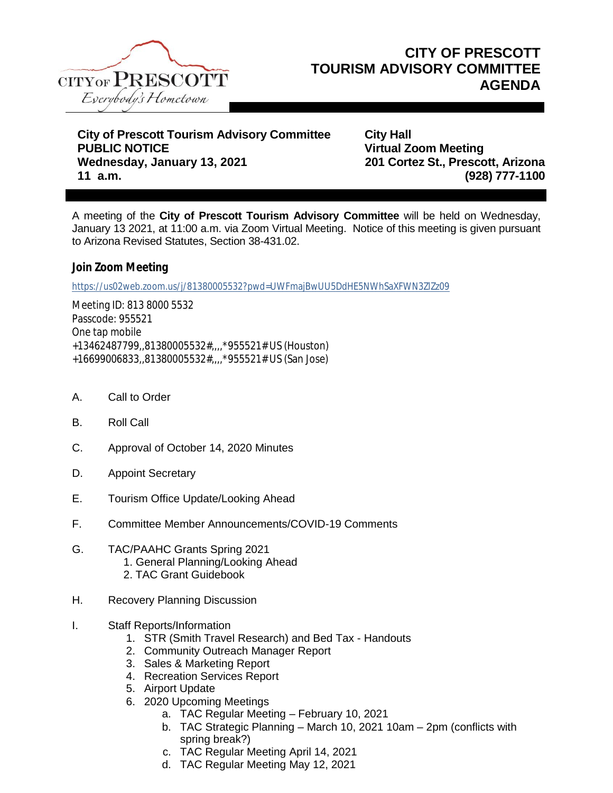

**City of Prescott Tourism Advisory Committee City Hall PUBLIC NOTICE Virtual Zoom Meeting Wednesday, January 13, 2021 201 Cortez St., Prescott, Arizona 11 a.m. (928) 777-1100**

A meeting of the **City of Prescott Tourism Advisory Committee** will be held on Wednesday, January 13 2021, at 11:00 a.m. via Zoom Virtual Meeting. Notice of this meeting is given pursuant to Arizona Revised Statutes, Section 38-431.02.

**Join Zoom Meeting**

<https://us02web.zoom.us/j/81380005532?pwd=UWFmajBwUU5DdHE5NWhSaXFWN3ZlZz09>

Meeting ID: 813 8000 5532 Passcode: 955521 One tap mobile +13462487799,,81380005532#,,,,\*955521# US (Houston) +16699006833,,81380005532#,,,,\*955521# US (San Jose)

- A. Call to Order
- B. Roll Call
- C. Approval of October 14, 2020 Minutes
- D. Appoint Secretary
- E. Tourism Office Update/Looking Ahead
- F. Committee Member Announcements/COVID-19 Comments
- G. TAC/PAAHC Grants Spring 2021 1. General Planning/Looking Ahead 2. TAC Grant Guidebook
- H. Recovery Planning Discussion
- I. Staff Reports/Information
	- 1. STR (Smith Travel Research) and Bed Tax Handouts
	- 2. Community Outreach Manager Report
	- 3. Sales & Marketing Report
	- 4. Recreation Services Report
	- 5. Airport Update
	- 6. 2020 Upcoming Meetings
		- a. TAC Regular Meeting February 10, 2021
		- b. TAC Strategic Planning March 10, 2021 10am 2pm (conflicts with spring break?)
		- c. TAC Regular Meeting April 14, 2021
		- d. TAC Regular Meeting May 12, 2021